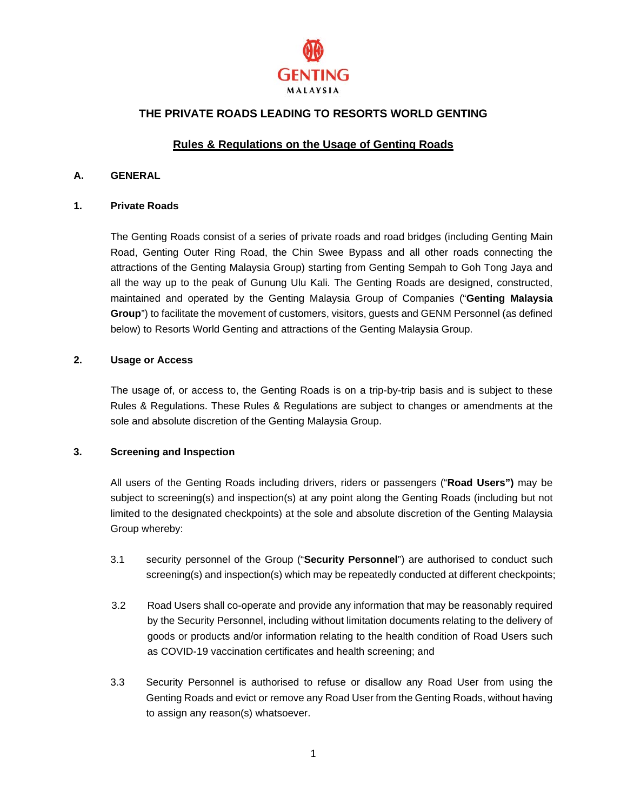

# **THE PRIVATE ROADS LEADING TO RESORTS WORLD GENTING**

# **Rules & Regulations on the Usage of Genting Roads**

# **A. GENERAL**

#### **1. Private Roads**

The Genting Roads consist of a series of private roads and road bridges (including Genting Main Road, Genting Outer Ring Road, the Chin Swee Bypass and all other roads connecting the attractions of the Genting Malaysia Group) starting from Genting Sempah to Goh Tong Jaya and all the way up to the peak of Gunung Ulu Kali. The Genting Roads are designed, constructed, maintained and operated by the Genting Malaysia Group of Companies ("**Genting Malaysia Group**") to facilitate the movement of customers, visitors, guests and GENM Personnel (as defined below) to Resorts World Genting and attractions of the Genting Malaysia Group.

# **2. Usage or Access**

The usage of, or access to, the Genting Roads is on a trip-by-trip basis and is subject to these Rules & Regulations. These Rules & Regulations are subject to changes or amendments at the sole and absolute discretion of the Genting Malaysia Group.

# **3. Screening and Inspection**

All users of the Genting Roads including drivers, riders or passengers ("**Road Users")** may be subject to screening(s) and inspection(s) at any point along the Genting Roads (including but not limited to the designated checkpoints) at the sole and absolute discretion of the Genting Malaysia Group whereby:

- 3.1 security personnel of the Group ("**Security Personnel**") are authorised to conduct such screening(s) and inspection(s) which may be repeatedly conducted at different checkpoints;
- 3.2 Road Users shall co-operate and provide any information that may be reasonably required by the Security Personnel, including without limitation documents relating to the delivery of goods or products and/or information relating to the health condition of Road Users such as COVID-19 vaccination certificates and health screening; and
- 3.3 Security Personnel is authorised to refuse or disallow any Road User from using the Genting Roads and evict or remove any Road User from the Genting Roads, without having to assign any reason(s) whatsoever.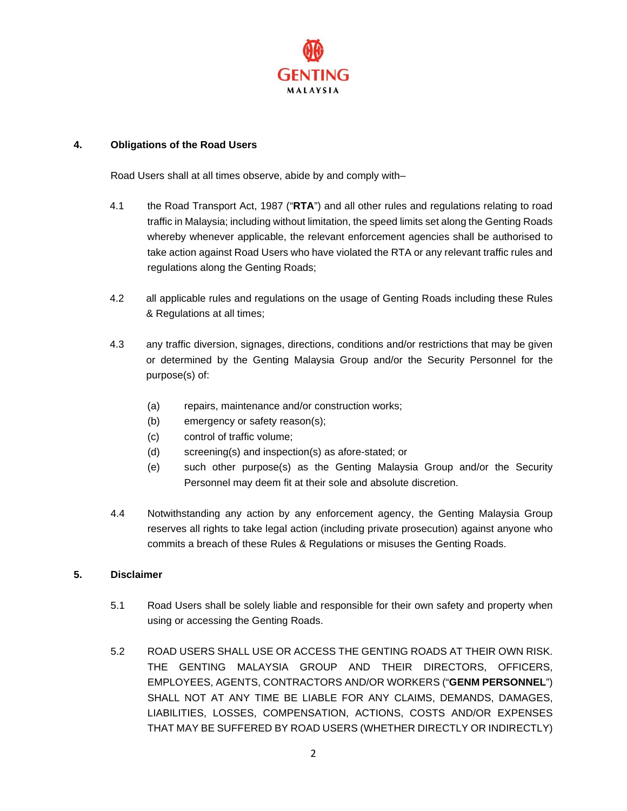

# **4. Obligations of the Road Users**

Road Users shall at all times observe, abide by and comply with–

- 4.1 the Road Transport Act, 1987 ("**RTA**") and all other rules and regulations relating to road traffic in Malaysia; including without limitation, the speed limits set along the Genting Roads whereby whenever applicable, the relevant enforcement agencies shall be authorised to take action against Road Users who have violated the RTA or any relevant traffic rules and regulations along the Genting Roads;
- 4.2 all applicable rules and regulations on the usage of Genting Roads including these Rules & Regulations at all times;
- 4.3 any traffic diversion, signages, directions, conditions and/or restrictions that may be given or determined by the Genting Malaysia Group and/or the Security Personnel for the purpose(s) of:
	- (a) repairs, maintenance and/or construction works;
	- (b) emergency or safety reason(s);
	- (c) control of traffic volume;
	- (d) screening(s) and inspection(s) as afore-stated; or
	- (e) such other purpose(s) as the Genting Malaysia Group and/or the Security Personnel may deem fit at their sole and absolute discretion.
- 4.4 Notwithstanding any action by any enforcement agency, the Genting Malaysia Group reserves all rights to take legal action (including private prosecution) against anyone who commits a breach of these Rules & Regulations or misuses the Genting Roads.

# **5. Disclaimer**

- 5.1 Road Users shall be solely liable and responsible for their own safety and property when using or accessing the Genting Roads.
- 5.2 ROAD USERS SHALL USE OR ACCESS THE GENTING ROADS AT THEIR OWN RISK. THE GENTING MALAYSIA GROUP AND THEIR DIRECTORS, OFFICERS, EMPLOYEES, AGENTS, CONTRACTORS AND/OR WORKERS ("**GENM PERSONNEL**") SHALL NOT AT ANY TIME BE LIABLE FOR ANY CLAIMS, DEMANDS, DAMAGES, LIABILITIES, LOSSES, COMPENSATION, ACTIONS, COSTS AND/OR EXPENSES THAT MAY BE SUFFERED BY ROAD USERS (WHETHER DIRECTLY OR INDIRECTLY)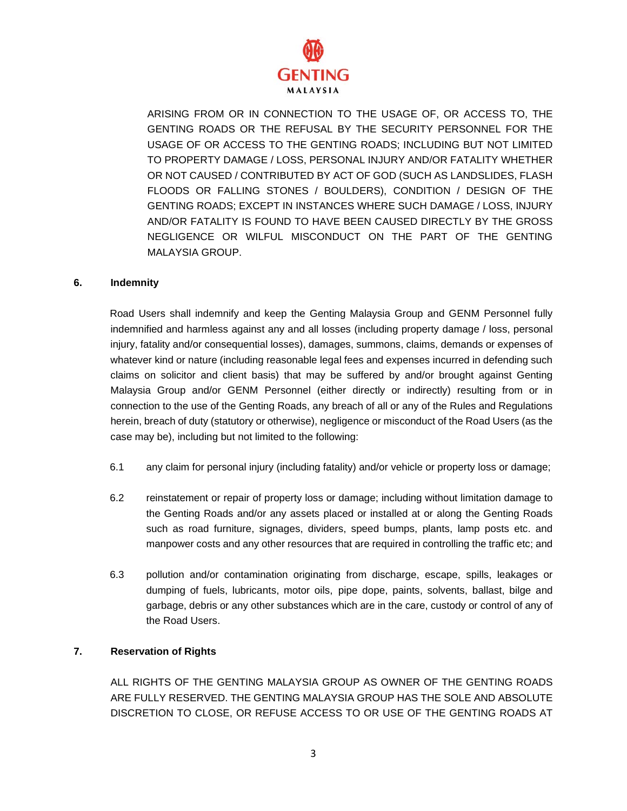

ARISING FROM OR IN CONNECTION TO THE USAGE OF, OR ACCESS TO, THE GENTING ROADS OR THE REFUSAL BY THE SECURITY PERSONNEL FOR THE USAGE OF OR ACCESS TO THE GENTING ROADS; INCLUDING BUT NOT LIMITED TO PROPERTY DAMAGE / LOSS, PERSONAL INJURY AND/OR FATALITY WHETHER OR NOT CAUSED / CONTRIBUTED BY ACT OF GOD (SUCH AS LANDSLIDES, FLASH FLOODS OR FALLING STONES / BOULDERS), CONDITION / DESIGN OF THE GENTING ROADS; EXCEPT IN INSTANCES WHERE SUCH DAMAGE / LOSS, INJURY AND/OR FATALITY IS FOUND TO HAVE BEEN CAUSED DIRECTLY BY THE GROSS NEGLIGENCE OR WILFUL MISCONDUCT ON THE PART OF THE GENTING MALAYSIA GROUP.

# **6. Indemnity**

Road Users shall indemnify and keep the Genting Malaysia Group and GENM Personnel fully indemnified and harmless against any and all losses (including property damage / loss, personal injury, fatality and/or consequential losses), damages, summons, claims, demands or expenses of whatever kind or nature (including reasonable legal fees and expenses incurred in defending such claims on solicitor and client basis) that may be suffered by and/or brought against Genting Malaysia Group and/or GENM Personnel (either directly or indirectly) resulting from or in connection to the use of the Genting Roads, any breach of all or any of the Rules and Regulations herein, breach of duty (statutory or otherwise), negligence or misconduct of the Road Users (as the case may be), including but not limited to the following:

- 6.1 any claim for personal injury (including fatality) and/or vehicle or property loss or damage;
- 6.2 reinstatement or repair of property loss or damage; including without limitation damage to the Genting Roads and/or any assets placed or installed at or along the Genting Roads such as road furniture, signages, dividers, speed bumps, plants, lamp posts etc. and manpower costs and any other resources that are required in controlling the traffic etc; and
- 6.3 pollution and/or contamination originating from discharge, escape, spills, leakages or dumping of fuels, lubricants, motor oils, pipe dope, paints, solvents, ballast, bilge and garbage, debris or any other substances which are in the care, custody or control of any of the Road Users.

# **7. Reservation of Rights**

ALL RIGHTS OF THE GENTING MALAYSIA GROUP AS OWNER OF THE GENTING ROADS ARE FULLY RESERVED. THE GENTING MALAYSIA GROUP HAS THE SOLE AND ABSOLUTE DISCRETION TO CLOSE, OR REFUSE ACCESS TO OR USE OF THE GENTING ROADS AT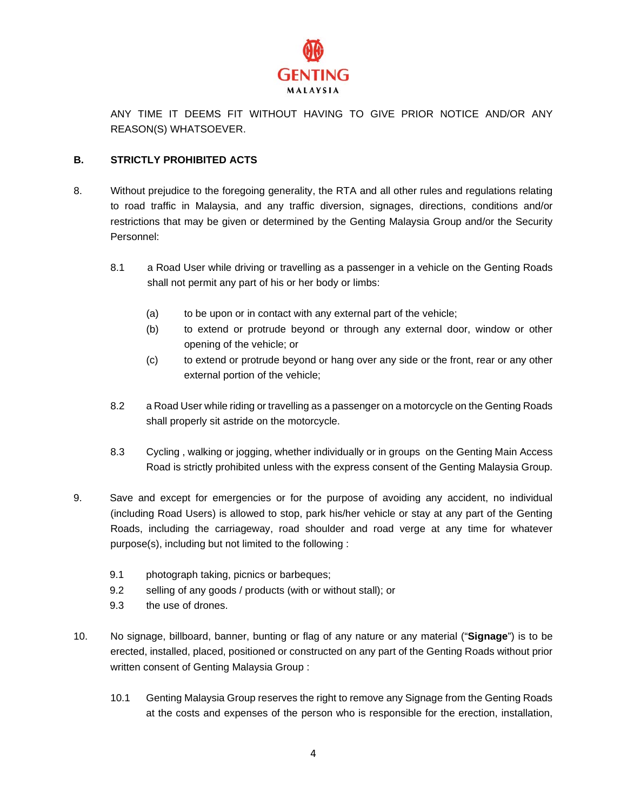

ANY TIME IT DEEMS FIT WITHOUT HAVING TO GIVE PRIOR NOTICE AND/OR ANY REASON(S) WHATSOEVER.

# **B. STRICTLY PROHIBITED ACTS**

- 8. Without prejudice to the foregoing generality, the RTA and all other rules and regulations relating to road traffic in Malaysia, and any traffic diversion, signages, directions, conditions and/or restrictions that may be given or determined by the Genting Malaysia Group and/or the Security Personnel:
	- 8.1 a Road User while driving or travelling as a passenger in a vehicle on the Genting Roads shall not permit any part of his or her body or limbs:
		- (a) to be upon or in contact with any external part of the vehicle;
		- (b) to extend or protrude beyond or through any external door, window or other opening of the vehicle; or
		- (c) to extend or protrude beyond or hang over any side or the front, rear or any other external portion of the vehicle;
	- 8.2 a Road User while riding or travelling as a passenger on a motorcycle on the Genting Roads shall properly sit astride on the motorcycle.
	- 8.3 Cycling , walking or jogging, whether individually or in groups on the Genting Main Access Road is strictly prohibited unless with the express consent of the Genting Malaysia Group.
- 9. Save and except for emergencies or for the purpose of avoiding any accident, no individual (including Road Users) is allowed to stop, park his/her vehicle or stay at any part of the Genting Roads, including the carriageway, road shoulder and road verge at any time for whatever purpose(s), including but not limited to the following :
	- 9.1 photograph taking, picnics or barbeques;
	- 9.2 selling of any goods / products (with or without stall); or
	- 9.3 the use of drones.
- 10. No signage, billboard, banner, bunting or flag of any nature or any material ("**Signage**") is to be erected, installed, placed, positioned or constructed on any part of the Genting Roads without prior written consent of Genting Malaysia Group :
	- 10.1 Genting Malaysia Group reserves the right to remove any Signage from the Genting Roads at the costs and expenses of the person who is responsible for the erection, installation,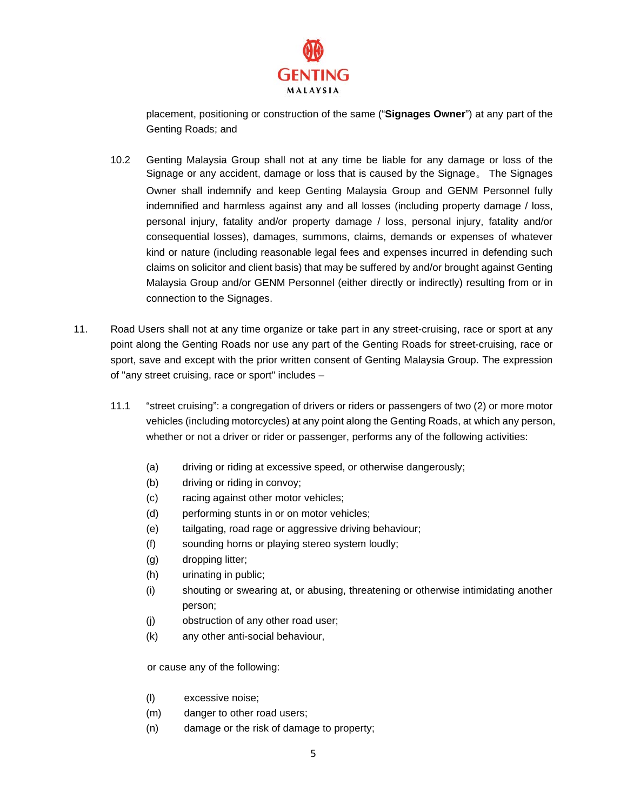

placement, positioning or construction of the same ("**Signages Owner**") at any part of the Genting Roads; and

- 10.2 Genting Malaysia Group shall not at any time be liable for any damage or loss of the Signage or any accident, damage or loss that is caused by the Signage。 The Signages Owner shall indemnify and keep Genting Malaysia Group and GENM Personnel fully indemnified and harmless against any and all losses (including property damage / loss, personal injury, fatality and/or property damage / loss, personal injury, fatality and/or consequential losses), damages, summons, claims, demands or expenses of whatever kind or nature (including reasonable legal fees and expenses incurred in defending such claims on solicitor and client basis) that may be suffered by and/or brought against Genting Malaysia Group and/or GENM Personnel (either directly or indirectly) resulting from or in connection to the Signages.
- 11. Road Users shall not at any time organize or take part in any street-cruising, race or sport at any point along the Genting Roads nor use any part of the Genting Roads for street-cruising, race or sport, save and except with the prior written consent of Genting Malaysia Group. The expression of "any street cruising, race or sport" includes –
	- 11.1 "street cruising": a congregation of drivers or riders or passengers of two (2) or more motor vehicles (including motorcycles) at any point along the Genting Roads, at which any person, whether or not a driver or rider or passenger, performs any of the following activities:
		- (a) driving or riding at excessive speed, or otherwise dangerously;
		- (b) driving or riding in convoy;
		- (c) racing against other motor vehicles;
		- (d) performing stunts in or on motor vehicles;
		- (e) tailgating, road rage or aggressive driving behaviour;
		- (f) sounding horns or playing stereo system loudly;
		- (g) dropping litter;
		- (h) urinating in public;
		- (i) shouting or swearing at, or abusing, threatening or otherwise intimidating another person;
		- (j) obstruction of any other road user;
		- (k) any other anti-social behaviour,

or cause any of the following:

- (l) excessive noise;
- (m) danger to other road users;
- (n) damage or the risk of damage to property;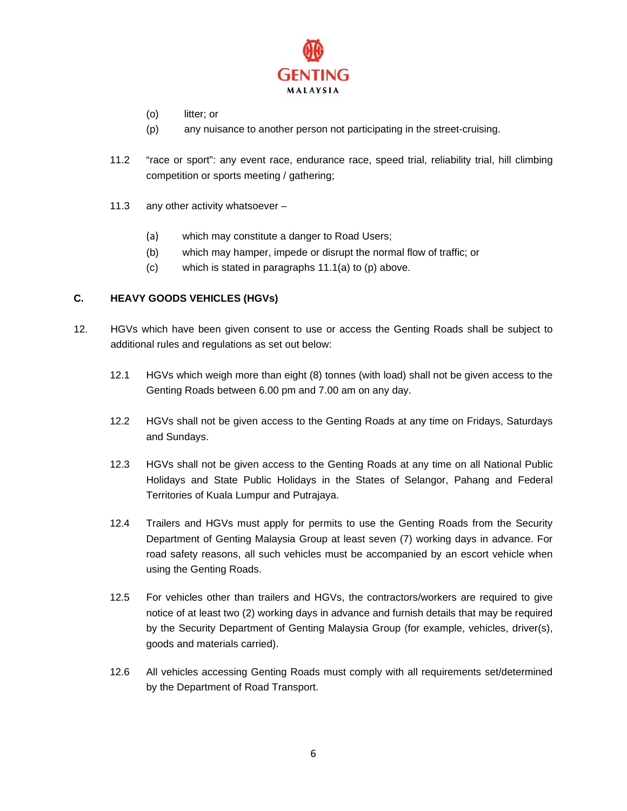

- (o) litter; or
- (p) any nuisance to another person not participating in the street-cruising.
- 11.2 "race or sport": any event race, endurance race, speed trial, reliability trial, hill climbing competition or sports meeting / gathering;
- 11.3 any other activity whatsoever
	- (a) which may constitute a danger to Road Users;
	- (b) which may hamper, impede or disrupt the normal flow of traffic; or
	- (c) which is stated in paragraphs 11.1(a) to (p) above.

# **C. HEAVY GOODS VEHICLES (HGVs)**

- 12. HGVs which have been given consent to use or access the Genting Roads shall be subject to additional rules and regulations as set out below:
	- 12.1 HGVs which weigh more than eight (8) tonnes (with load) shall not be given access to the Genting Roads between 6.00 pm and 7.00 am on any day.
	- 12.2 HGVs shall not be given access to the Genting Roads at any time on Fridays, Saturdays and Sundays.
	- 12.3 HGVs shall not be given access to the Genting Roads at any time on all National Public Holidays and State Public Holidays in the States of Selangor, Pahang and Federal Territories of Kuala Lumpur and Putrajaya.
	- 12.4 Trailers and HGVs must apply for permits to use the Genting Roads from the Security Department of Genting Malaysia Group at least seven (7) working days in advance. For road safety reasons, all such vehicles must be accompanied by an escort vehicle when using the Genting Roads.
	- 12.5 For vehicles other than trailers and HGVs, the contractors/workers are required to give notice of at least two (2) working days in advance and furnish details that may be required by the Security Department of Genting Malaysia Group (for example, vehicles, driver(s), goods and materials carried).
	- 12.6 All vehicles accessing Genting Roads must comply with all requirements set/determined by the Department of Road Transport.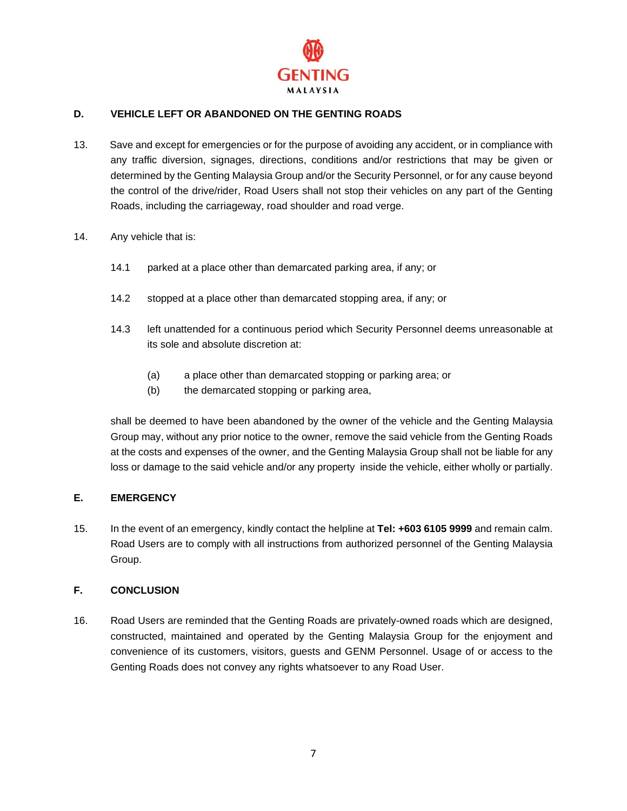

# **D. VEHICLE LEFT OR ABANDONED ON THE GENTING ROADS**

- 13. Save and except for emergencies or for the purpose of avoiding any accident, or in compliance with any traffic diversion, signages, directions, conditions and/or restrictions that may be given or determined by the Genting Malaysia Group and/or the Security Personnel, or for any cause beyond the control of the drive/rider, Road Users shall not stop their vehicles on any part of the Genting Roads, including the carriageway, road shoulder and road verge.
- 14. Any vehicle that is:
	- 14.1 parked at a place other than demarcated parking area, if any; or
	- 14.2 stopped at a place other than demarcated stopping area, if any; or
	- 14.3 left unattended for a continuous period which Security Personnel deems unreasonable at its sole and absolute discretion at:
		- (a) a place other than demarcated stopping or parking area; or
		- (b) the demarcated stopping or parking area,

shall be deemed to have been abandoned by the owner of the vehicle and the Genting Malaysia Group may, without any prior notice to the owner, remove the said vehicle from the Genting Roads at the costs and expenses of the owner, and the Genting Malaysia Group shall not be liable for any loss or damage to the said vehicle and/or any property inside the vehicle, either wholly or partially.

# **E. EMERGENCY**

15. In the event of an emergency, kindly contact the helpline at **Tel: +603 6105 9999** and remain calm. Road Users are to comply with all instructions from authorized personnel of the Genting Malaysia Group.

# **F. CONCLUSION**

16. Road Users are reminded that the Genting Roads are privately-owned roads which are designed, constructed, maintained and operated by the Genting Malaysia Group for the enjoyment and convenience of its customers, visitors, guests and GENM Personnel. Usage of or access to the Genting Roads does not convey any rights whatsoever to any Road User.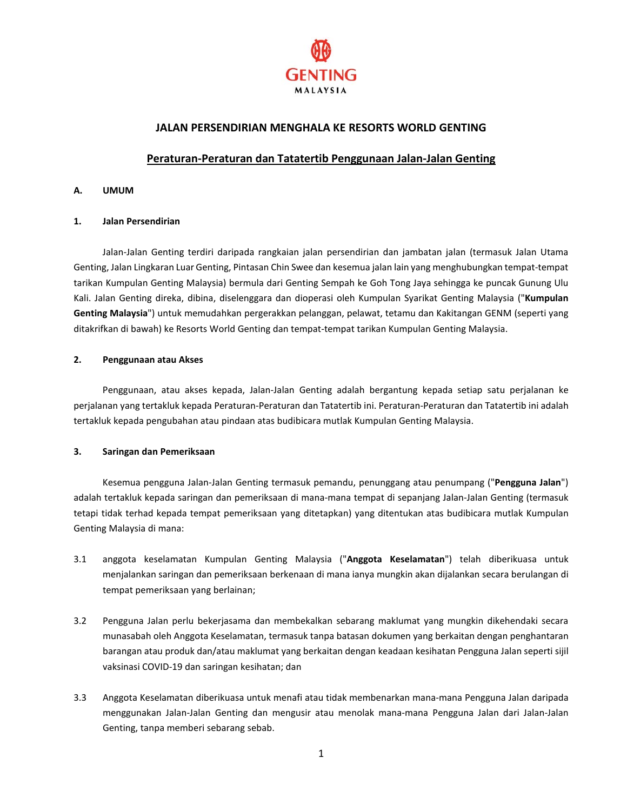

# **JALAN PERSENDIRIAN MENGHALA KE RESORTS WORLD GENTING**

# **Peraturan-Peraturan dan Tatatertib Penggunaan Jalan-Jalan Genting**

#### **A. UMUM**

#### **1. Jalan Persendirian**

Jalan-Jalan Genting terdiri daripada rangkaian jalan persendirian dan jambatan jalan (termasuk Jalan Utama Genting, Jalan Lingkaran Luar Genting, Pintasan Chin Swee dan kesemua jalan lain yang menghubungkan tempat-tempat tarikan Kumpulan Genting Malaysia) bermula dari Genting Sempah ke Goh Tong Jaya sehingga ke puncak Gunung Ulu Kali. Jalan Genting direka, dibina, diselenggara dan dioperasi oleh Kumpulan Syarikat Genting Malaysia ("**Kumpulan Genting Malaysia**") untuk memudahkan pergerakkan pelanggan, pelawat, tetamu dan Kakitangan GENM (seperti yang ditakrifkan di bawah) ke Resorts World Genting dan tempat-tempat tarikan Kumpulan Genting Malaysia.

#### **2. Penggunaan atau Akses**

Penggunaan, atau akses kepada, Jalan-Jalan Genting adalah bergantung kepada setiap satu perjalanan ke perjalanan yang tertakluk kepada Peraturan-Peraturan dan Tatatertib ini. Peraturan-Peraturan dan Tatatertib ini adalah tertakluk kepada pengubahan atau pindaan atas budibicara mutlak Kumpulan Genting Malaysia.

#### **3. Saringan dan Pemeriksaan**

Kesemua pengguna Jalan-Jalan Genting termasuk pemandu, penunggang atau penumpang ("**Pengguna Jalan**") adalah tertakluk kepada saringan dan pemeriksaan di mana-mana tempat di sepanjang Jalan-Jalan Genting (termasuk tetapi tidak terhad kepada tempat pemeriksaan yang ditetapkan) yang ditentukan atas budibicara mutlak Kumpulan Genting Malaysia di mana:

- 3.1 anggota keselamatan Kumpulan Genting Malaysia ("**Anggota Keselamatan**") telah diberikuasa untuk menjalankan saringan dan pemeriksaan berkenaan di mana ianya mungkin akan dijalankan secara berulangan di tempat pemeriksaan yang berlainan;
- 3.2 Pengguna Jalan perlu bekerjasama dan membekalkan sebarang maklumat yang mungkin dikehendaki secara munasabah oleh Anggota Keselamatan, termasuk tanpa batasan dokumen yang berkaitan dengan penghantaran barangan atau produk dan/atau maklumat yang berkaitan dengan keadaan kesihatan Pengguna Jalan seperti sijil vaksinasi COVID-19 dan saringan kesihatan; dan
- 3.3 Anggota Keselamatan diberikuasa untuk menafi atau tidak membenarkan mana-mana Pengguna Jalan daripada menggunakan Jalan-Jalan Genting dan mengusir atau menolak mana-mana Pengguna Jalan dari Jalan-Jalan Genting, tanpa memberi sebarang sebab.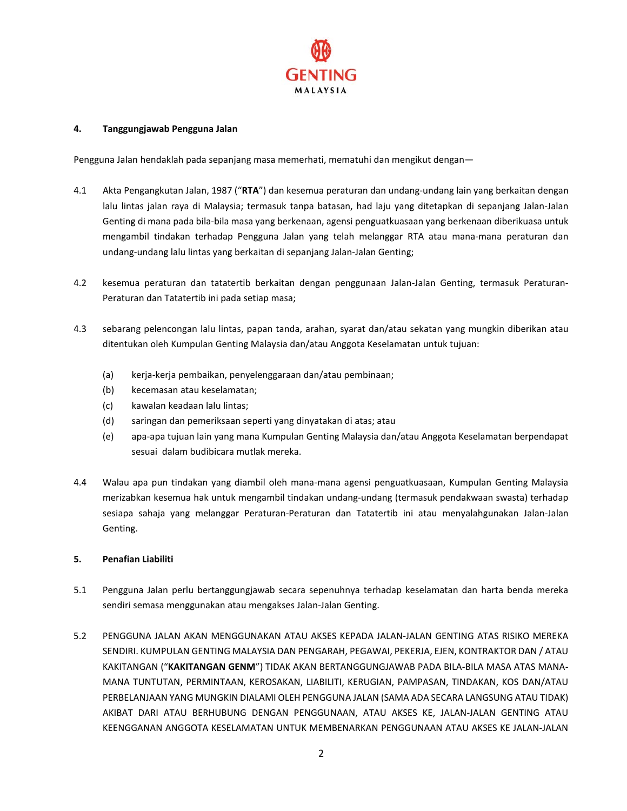

#### **4. Tanggungjawab Pengguna Jalan**

Pengguna Jalan hendaklah pada sepanjang masa memerhati, mematuhi dan mengikut dengan—

- 4.1 Akta Pengangkutan Jalan, 1987 ("**RTA**") dan kesemua peraturan dan undang-undang lain yang berkaitan dengan lalu lintas jalan raya di Malaysia; termasuk tanpa batasan, had laju yang ditetapkan di sepanjang Jalan-Jalan Genting di mana pada bila-bila masa yang berkenaan, agensi penguatkuasaan yang berkenaan diberikuasa untuk mengambil tindakan terhadap Pengguna Jalan yang telah melanggar RTA atau mana-mana peraturan dan undang-undang lalu lintas yang berkaitan di sepanjang Jalan-Jalan Genting;
- 4.2 kesemua peraturan dan tatatertib berkaitan dengan penggunaan Jalan-Jalan Genting, termasuk Peraturan-Peraturan dan Tatatertib ini pada setiap masa;
- 4.3 sebarang pelencongan lalu lintas, papan tanda, arahan, syarat dan/atau sekatan yang mungkin diberikan atau ditentukan oleh Kumpulan Genting Malaysia dan/atau Anggota Keselamatan untuk tujuan:
	- (a) kerja-kerja pembaikan, penyelenggaraan dan/atau pembinaan;
	- (b) kecemasan atau keselamatan;
	- (c) kawalan keadaan lalu lintas;
	- (d) saringan dan pemeriksaan seperti yang dinyatakan di atas; atau
	- (e) apa-apa tujuan lain yang mana Kumpulan Genting Malaysia dan/atau Anggota Keselamatan berpendapat sesuai dalam budibicara mutlak mereka.
- 4.4 Walau apa pun tindakan yang diambil oleh mana-mana agensi penguatkuasaan, Kumpulan Genting Malaysia merizabkan kesemua hak untuk mengambil tindakan undang-undang (termasuk pendakwaan swasta) terhadap sesiapa sahaja yang melanggar Peraturan-Peraturan dan Tatatertib ini atau menyalahgunakan Jalan-Jalan Genting.

#### **5. Penafian Liabiliti**

- 5.1 Pengguna Jalan perlu bertanggungjawab secara sepenuhnya terhadap keselamatan dan harta benda mereka sendiri semasa menggunakan atau mengakses Jalan-Jalan Genting.
- 5.2 PENGGUNA JALAN AKAN MENGGUNAKAN ATAU AKSES KEPADA JALAN-JALAN GENTING ATAS RISIKO MEREKA SENDIRI. KUMPULAN GENTING MALAYSIA DAN PENGARAH, PEGAWAI, PEKERJA, EJEN, KONTRAKTOR DAN / ATAU KAKITANGAN ("**KAKITANGAN GENM**") TIDAK AKAN BERTANGGUNGJAWAB PADA BILA-BILA MASA ATAS MANA-MANA TUNTUTAN, PERMINTAAN, KEROSAKAN, LIABILITI, KERUGIAN, PAMPASAN, TINDAKAN, KOS DAN/ATAU PERBELANJAAN YANG MUNGKIN DIALAMI OLEH PENGGUNA JALAN (SAMA ADA SECARA LANGSUNG ATAU TIDAK) AKIBAT DARI ATAU BERHUBUNG DENGAN PENGGUNAAN, ATAU AKSES KE, JALAN-JALAN GENTING ATAU KEENGGANAN ANGGOTA KESELAMATAN UNTUK MEMBENARKAN PENGGUNAAN ATAU AKSES KE JALAN-JALAN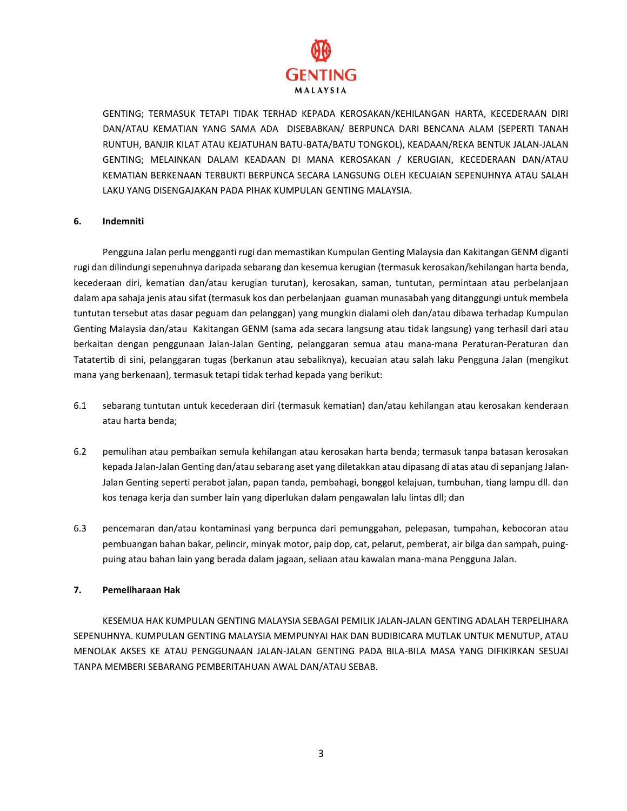

GENTING; TERMASUK TETAPI TIDAK TERHAD KEPADA KEROSAKAN/KEHILANGAN HARTA, KECEDERAAN DIRI DAN/ATAU KEMATIAN YANG SAMA ADA DISEBABKAN/ BERPUNCA DARI BENCANA ALAM (SEPERTI TANAH RUNTUH, BANJIR KILAT ATAU KEJATUHAN BATU-BATA/BATU TONGKOL), KEADAAN/REKA BENTUK JALAN-JALAN GENTING; MELAINKAN DALAM KEADAAN DI MANA KEROSAKAN / KERUGIAN, KECEDERAAN DAN/ATAU KEMATIAN BERKENAAN TERBUKTI BERPUNCA SECARA LANGSUNG OLEH KECUAIAN SEPENUHNYA ATAU SALAH LAKU YANG DISENGAJAKAN PADA PIHAK KUMPULAN GENTING MALAYSIA.

#### **6. Indemniti**

Pengguna Jalan perlu mengganti rugi dan memastikan Kumpulan Genting Malaysia dan Kakitangan GENM diganti rugi dan dilindungi sepenuhnya daripada sebarang dan kesemua kerugian (termasuk kerosakan/kehilangan harta benda, kecederaan diri, kematian dan/atau kerugian turutan), kerosakan, saman, tuntutan, permintaan atau perbelanjaan dalam apa sahaja jenis atau sifat (termasuk kos dan perbelanjaan guaman munasabah yang ditanggungi untuk membela tuntutan tersebut atas dasar peguam dan pelanggan) yang mungkin dialami oleh dan/atau dibawa terhadap Kumpulan Genting Malaysia dan/atau Kakitangan GENM (sama ada secara langsung atau tidak langsung) yang terhasil dari atau berkaitan dengan penggunaan Jalan-Jalan Genting, pelanggaran semua atau mana-mana Peraturan-Peraturan dan Tatatertib di sini, pelanggaran tugas (berkanun atau sebaliknya), kecuaian atau salah laku Pengguna Jalan (mengikut mana yang berkenaan), termasuk tetapi tidak terhad kepada yang berikut:

- 6.1 sebarang tuntutan untuk kecederaan diri (termasuk kematian) dan/atau kehilangan atau kerosakan kenderaan atau harta benda;
- 6.2 pemulihan atau pembaikan semula kehilangan atau kerosakan harta benda; termasuk tanpa batasan kerosakan kepada Jalan-Jalan Genting dan/atau sebarang aset yang diletakkan atau dipasang di atas atau di sepanjang Jalan-Jalan Genting seperti perabot jalan, papan tanda, pembahagi, bonggol kelajuan, tumbuhan, tiang lampu dll. dan kos tenaga kerja dan sumber lain yang diperlukan dalam pengawalan lalu lintas dll; dan
- 6.3 pencemaran dan/atau kontaminasi yang berpunca dari pemunggahan, pelepasan, tumpahan, kebocoran atau pembuangan bahan bakar, pelincir, minyak motor, paip dop, cat, pelarut, pemberat, air bilga dan sampah, puingpuing atau bahan lain yang berada dalam jagaan, seliaan atau kawalan mana-mana Pengguna Jalan.

#### **7. Pemeliharaan Hak**

KESEMUA HAK KUMPULAN GENTING MALAYSIA SEBAGAI PEMILIK JALAN-JALAN GENTING ADALAH TERPELIHARA SEPENUHNYA. KUMPULAN GENTING MALAYSIA MEMPUNYAI HAK DAN BUDIBICARA MUTLAK UNTUK MENUTUP, ATAU MENOLAK AKSES KE ATAU PENGGUNAAN JALAN-JALAN GENTING PADA BILA-BILA MASA YANG DIFIKIRKAN SESUAI TANPA MEMBERI SEBARANG PEMBERITAHUAN AWAL DAN/ATAU SEBAB.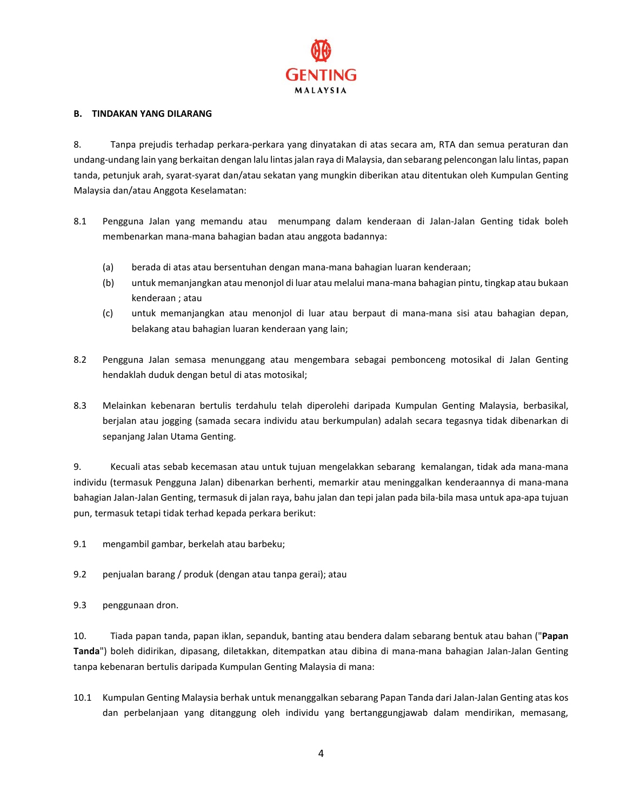

#### **B. TINDAKAN YANG DILARANG**

8. Tanpa prejudis terhadap perkara-perkara yang dinyatakan di atas secara am, RTA dan semua peraturan dan undang-undang lain yang berkaitan dengan lalu lintas jalan raya di Malaysia, dan sebarang pelencongan lalu lintas, papan tanda, petunjuk arah, syarat-syarat dan/atau sekatan yang mungkin diberikan atau ditentukan oleh Kumpulan Genting Malaysia dan/atau Anggota Keselamatan:

- 8.1 Pengguna Jalan yang memandu atau menumpang dalam kenderaan di Jalan-Jalan Genting tidak boleh membenarkan mana-mana bahagian badan atau anggota badannya:
	- (a) berada di atas atau bersentuhan dengan mana-mana bahagian luaran kenderaan;
	- (b) untuk memanjangkan atau menonjol di luar atau melalui mana-mana bahagian pintu, tingkap atau bukaan kenderaan ; atau
	- (c) untuk memanjangkan atau menonjol di luar atau berpaut di mana-mana sisi atau bahagian depan, belakang atau bahagian luaran kenderaan yang lain;
- 8.2 Pengguna Jalan semasa menunggang atau mengembara sebagai pembonceng motosikal di Jalan Genting hendaklah duduk dengan betul di atas motosikal;
- 8.3 Melainkan kebenaran bertulis terdahulu telah diperolehi daripada Kumpulan Genting Malaysia, berbasikal, berjalan atau jogging (samada secara individu atau berkumpulan) adalah secara tegasnya tidak dibenarkan di sepanjang Jalan Utama Genting.

9. Kecuali atas sebab kecemasan atau untuk tujuan mengelakkan sebarang kemalangan, tidak ada mana-mana individu (termasuk Pengguna Jalan) dibenarkan berhenti, memarkir atau meninggalkan kenderaannya di mana-mana bahagian Jalan-Jalan Genting, termasuk di jalan raya, bahu jalan dan tepi jalan pada bila-bila masa untuk apa-apa tujuan pun, termasuk tetapi tidak terhad kepada perkara berikut:

9.1 mengambil gambar, berkelah atau barbeku;

9.2 penjualan barang / produk (dengan atau tanpa gerai); atau

9.3 penggunaan dron.

10. Tiada papan tanda, papan iklan, sepanduk, banting atau bendera dalam sebarang bentuk atau bahan ("**Papan Tanda**") boleh didirikan, dipasang, diletakkan, ditempatkan atau dibina di mana-mana bahagian Jalan-Jalan Genting tanpa kebenaran bertulis daripada Kumpulan Genting Malaysia di mana:

10.1 Kumpulan Genting Malaysia berhak untuk menanggalkan sebarang Papan Tanda dari Jalan-Jalan Genting atas kos dan perbelanjaan yang ditanggung oleh individu yang bertanggungjawab dalam mendirikan, memasang,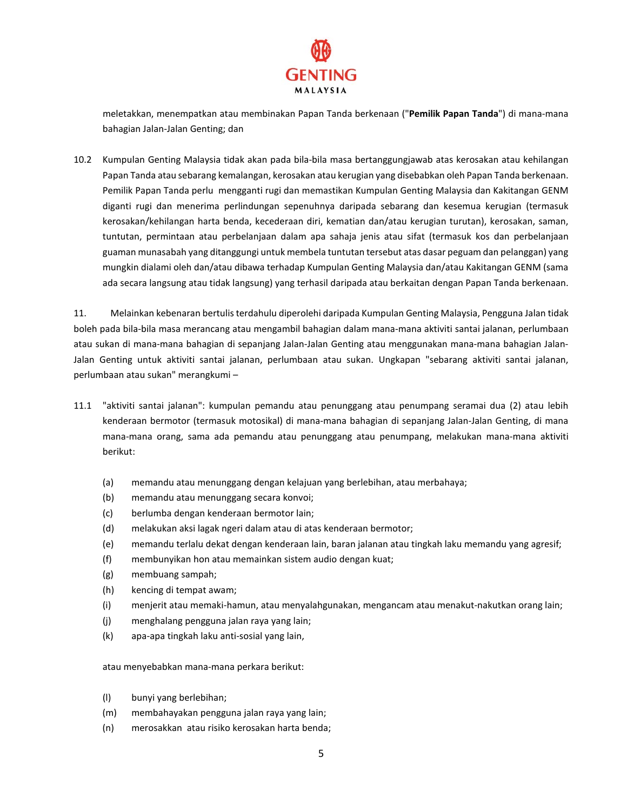

meletakkan, menempatkan atau membinakan Papan Tanda berkenaan ("**Pemilik Papan Tanda**") di mana-mana bahagian Jalan-Jalan Genting; dan

10.2 Kumpulan Genting Malaysia tidak akan pada bila-bila masa bertanggungjawab atas kerosakan atau kehilangan Papan Tanda atau sebarang kemalangan, kerosakan atau kerugian yang disebabkan oleh Papan Tanda berkenaan. Pemilik Papan Tanda perlu mengganti rugi dan memastikan Kumpulan Genting Malaysia dan Kakitangan GENM diganti rugi dan menerima perlindungan sepenuhnya daripada sebarang dan kesemua kerugian (termasuk kerosakan/kehilangan harta benda, kecederaan diri, kematian dan/atau kerugian turutan), kerosakan, saman, tuntutan, permintaan atau perbelanjaan dalam apa sahaja jenis atau sifat (termasuk kos dan perbelanjaan guaman munasabah yang ditanggungi untuk membela tuntutan tersebut atas dasar peguam dan pelanggan) yang mungkin dialami oleh dan/atau dibawa terhadap Kumpulan Genting Malaysia dan/atau Kakitangan GENM (sama ada secara langsung atau tidak langsung) yang terhasil daripada atau berkaitan dengan Papan Tanda berkenaan.

11. Melainkan kebenaran bertulis terdahulu diperolehi daripada Kumpulan Genting Malaysia, Pengguna Jalan tidak boleh pada bila-bila masa merancang atau mengambil bahagian dalam mana-mana aktiviti santai jalanan, perlumbaan atau sukan di mana-mana bahagian di sepanjang Jalan-Jalan Genting atau menggunakan mana-mana bahagian Jalan-Jalan Genting untuk aktiviti santai jalanan, perlumbaan atau sukan. Ungkapan "sebarang aktiviti santai jalanan, perlumbaan atau sukan" merangkumi –

- 11.1 "aktiviti santai jalanan": kumpulan pemandu atau penunggang atau penumpang seramai dua (2) atau lebih kenderaan bermotor (termasuk motosikal) di mana-mana bahagian di sepanjang Jalan-Jalan Genting, di mana mana-mana orang, sama ada pemandu atau penunggang atau penumpang, melakukan mana-mana aktiviti berikut:
	- (a) memandu atau menunggang dengan kelajuan yang berlebihan, atau merbahaya;
	- (b) memandu atau menunggang secara konvoi;
	- (c) berlumba dengan kenderaan bermotor lain;
	- (d) melakukan aksi lagak ngeri dalam atau di atas kenderaan bermotor;
	- (e) memandu terlalu dekat dengan kenderaan lain, baran jalanan atau tingkah laku memandu yang agresif;
	- (f) membunyikan hon atau memainkan sistem audio dengan kuat;
	- (g) membuang sampah;
	- (h) kencing di tempat awam;
	- (i) menjerit atau memaki-hamun, atau menyalahgunakan, mengancam atau menakut-nakutkan orang lain;
	- (j) menghalang pengguna jalan raya yang lain;
	- (k) apa-apa tingkah laku anti-sosial yang lain,

atau menyebabkan mana-mana perkara berikut:

- (l) bunyi yang berlebihan;
- (m) membahayakan pengguna jalan raya yang lain;
- (n) merosakkan atau risiko kerosakan harta benda;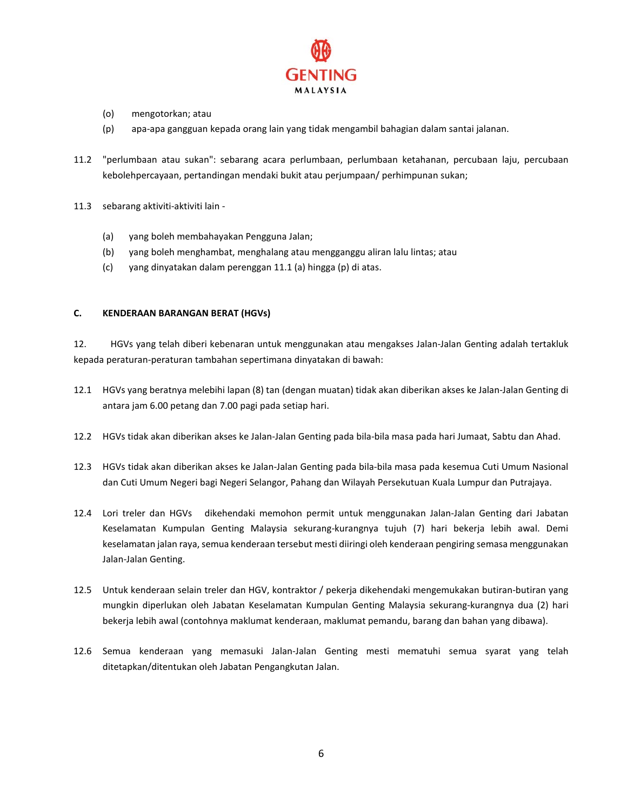

- (o) mengotorkan; atau
- (p) apa-apa gangguan kepada orang lain yang tidak mengambil bahagian dalam santai jalanan.
- 11.2 "perlumbaan atau sukan": sebarang acara perlumbaan, perlumbaan ketahanan, percubaan laju, percubaan kebolehpercayaan, pertandingan mendaki bukit atau perjumpaan/ perhimpunan sukan;
- 11.3 sebarang aktiviti-aktiviti lain
	- (a) yang boleh membahayakan Pengguna Jalan;
	- (b) yang boleh menghambat, menghalang atau mengganggu aliran lalu lintas; atau
	- (c) yang dinyatakan dalam perenggan 11.1 (a) hingga (p) di atas.

# **C. KENDERAAN BARANGAN BERAT (HGVs)**

12. HGVs yang telah diberi kebenaran untuk menggunakan atau mengakses Jalan-Jalan Genting adalah tertakluk kepada peraturan-peraturan tambahan sepertimana dinyatakan di bawah:

- 12.1 HGVs yang beratnya melebihi lapan (8) tan (dengan muatan) tidak akan diberikan akses ke Jalan-Jalan Genting di antara jam 6.00 petang dan 7.00 pagi pada setiap hari.
- 12.2 HGVs tidak akan diberikan akses ke Jalan-Jalan Genting pada bila-bila masa pada hari Jumaat, Sabtu dan Ahad.
- 12.3 HGVs tidak akan diberikan akses ke Jalan-Jalan Genting pada bila-bila masa pada kesemua Cuti Umum Nasional dan Cuti Umum Negeri bagi Negeri Selangor, Pahang dan Wilayah Persekutuan Kuala Lumpur dan Putrajaya.
- 12.4 Lori treler dan HGVs dikehendaki memohon permit untuk menggunakan Jalan-Jalan Genting dari Jabatan Keselamatan Kumpulan Genting Malaysia sekurang-kurangnya tujuh (7) hari bekerja lebih awal. Demi keselamatan jalan raya, semua kenderaan tersebut mesti diiringi oleh kenderaan pengiring semasa menggunakan Jalan-Jalan Genting.
- 12.5 Untuk kenderaan selain treler dan HGV, kontraktor / pekerja dikehendaki mengemukakan butiran-butiran yang mungkin diperlukan oleh Jabatan Keselamatan Kumpulan Genting Malaysia sekurang-kurangnya dua (2) hari bekerja lebih awal (contohnya maklumat kenderaan, maklumat pemandu, barang dan bahan yang dibawa).
- 12.6 Semua kenderaan yang memasuki Jalan-Jalan Genting mesti mematuhi semua syarat yang telah ditetapkan/ditentukan oleh Jabatan Pengangkutan Jalan.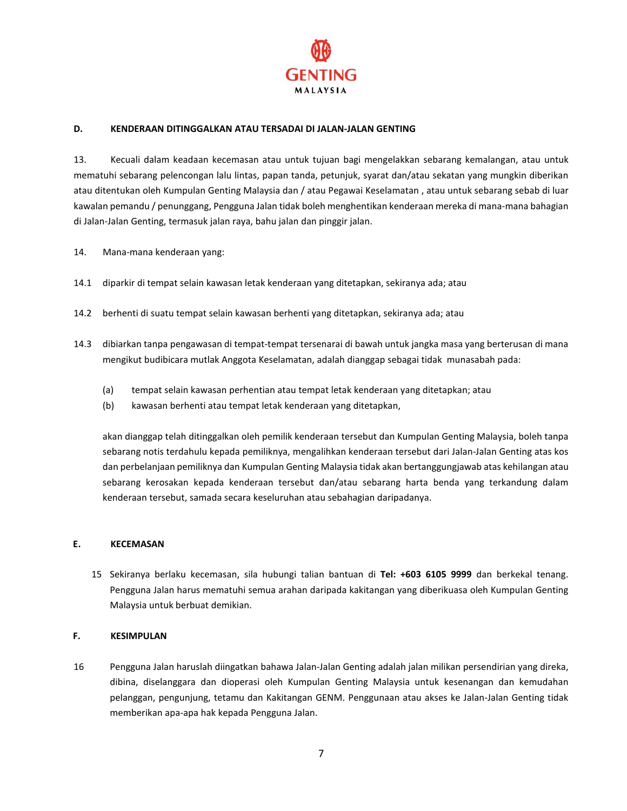

#### **D. KENDERAAN DITINGGALKAN ATAU TERSADAI DI JALAN-JALAN GENTING**

13. Kecuali dalam keadaan kecemasan atau untuk tujuan bagi mengelakkan sebarang kemalangan, atau untuk mematuhi sebarang pelencongan lalu lintas, papan tanda, petunjuk, syarat dan/atau sekatan yang mungkin diberikan atau ditentukan oleh Kumpulan Genting Malaysia dan / atau Pegawai Keselamatan , atau untuk sebarang sebab di luar kawalan pemandu / penunggang, Pengguna Jalan tidak boleh menghentikan kenderaan mereka di mana-mana bahagian di Jalan-Jalan Genting, termasuk jalan raya, bahu jalan dan pinggir jalan.

- 14. Mana-mana kenderaan yang:
- 14.1 diparkir di tempat selain kawasan letak kenderaan yang ditetapkan, sekiranya ada; atau
- 14.2 berhenti di suatu tempat selain kawasan berhenti yang ditetapkan, sekiranya ada; atau
- 14.3 dibiarkan tanpa pengawasan di tempat-tempat tersenarai di bawah untuk jangka masa yang berterusan di mana mengikut budibicara mutlak Anggota Keselamatan, adalah dianggap sebagai tidak munasabah pada:
	- (a) tempat selain kawasan perhentian atau tempat letak kenderaan yang ditetapkan; atau
	- (b) kawasan berhenti atau tempat letak kenderaan yang ditetapkan,

akan dianggap telah ditinggalkan oleh pemilik kenderaan tersebut dan Kumpulan Genting Malaysia, boleh tanpa sebarang notis terdahulu kepada pemiliknya, mengalihkan kenderaan tersebut dari Jalan-Jalan Genting atas kos dan perbelanjaan pemiliknya dan Kumpulan Genting Malaysia tidak akan bertanggungjawab atas kehilangan atau sebarang kerosakan kepada kenderaan tersebut dan/atau sebarang harta benda yang terkandung dalam kenderaan tersebut, samada secara keseluruhan atau sebahagian daripadanya.

#### **E. KECEMASAN**

15 Sekiranya berlaku kecemasan, sila hubungi talian bantuan di **Tel: +603 6105 9999** dan berkekal tenang. Pengguna Jalan harus mematuhi semua arahan daripada kakitangan yang diberikuasa oleh Kumpulan Genting Malaysia untuk berbuat demikian.

#### **F. KESIMPULAN**

16 Pengguna Jalan haruslah diingatkan bahawa Jalan-Jalan Genting adalah jalan milikan persendirian yang direka, dibina, diselanggara dan dioperasi oleh Kumpulan Genting Malaysia untuk kesenangan dan kemudahan pelanggan, pengunjung, tetamu dan Kakitangan GENM. Penggunaan atau akses ke Jalan-Jalan Genting tidak memberikan apa-apa hak kepada Pengguna Jalan.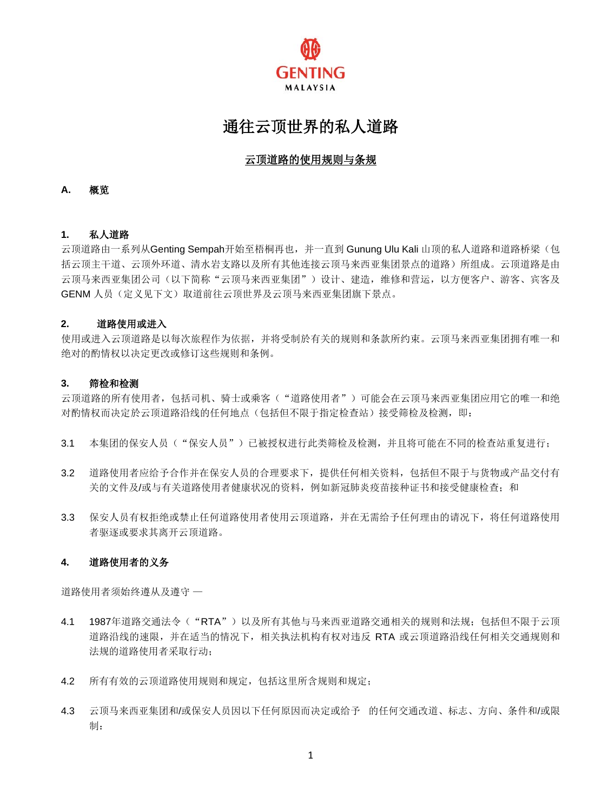

# 通往云顶世界的私人道路

# 云顶道路的使用规则与条规

# **A.** 概览

# **1.** 私人道路

云顶道路由一系列从Genting Sempah开始至梧桐再也,并一直到 Gunung Ulu Kali 山顶的私人道路和道路桥梁(包 括云顶主干道、云顶外环道、清水岩支路以及所有其他连接云顶马来西亚集团景点的道路)所组成。云顶道路是由 云顶马来西亚集团公司(以下简称"云顶马来西亚集团")设计、建造,维修和营运,以方便客户、游客、宾客及 GENM 人员(定义见下文)取道前往云顶世界及云顶马来西亚集团旗下景点。

## **2.** 道路使用或进入

使用或进入云顶道路是以每次旅程作为依据,并将受制於有关的规则和条款所约束。云顶马来西亚集团拥有唯一和 绝对的酌情权以决定更改或修订这些规则和条例。

#### **3.** 筛检和检测

云顶道路的所有使用者,包括司机、骑士或乘客("道路使用者")可能会在云顶马来西亚集团应用它的唯一和绝 对酌情权而决定於云顶道路沿线的任何地点(包括但不限于指定检查站)接受筛检及检测,即:

- 3.1 本集团的保安人员("保安人员")已被授权进行此类筛检及检测,并且将可能在不同的检查站重复进行;
- 3.2 道路使用者应给予合作并在保安人员的合理要求下,提供任何相关资料,包括但不限于与货物或产品交付有 关的文件及/或与有关道路使用者健康状况的资料,例如新冠肺炎疫苗接种证书和接受健康检查;和
- 3.3 保安人员有权拒绝或禁止任何道路使用者使用云顶道路,并在无需给予任何理由的请况下,将任何道路使用 者驱逐或要求其离开云顶道路。

# **4.** 道路使用者的义务

道路使用者须始终遵从及遵守 —

- 4.1 1987年道路交通法令("RTA")以及所有其他与马来西亚道路交通相关的规则和法规;包括但不限于云顶 道路沿线的速限,并在适当的情况下,相关执法机构有权对违反 RTA 或云顶道路沿线任何相关交通规则和 法规的道路使用者采取行动;
- 4.2 所有有效的云顶道路使用规则和规定,包括这里所含规则和规定;
- 4.3 云顶马来西亚集团和/或保安人员因以下任何原因而决定或给予 的任何交通改道、标志、方向、条件和/或限 制: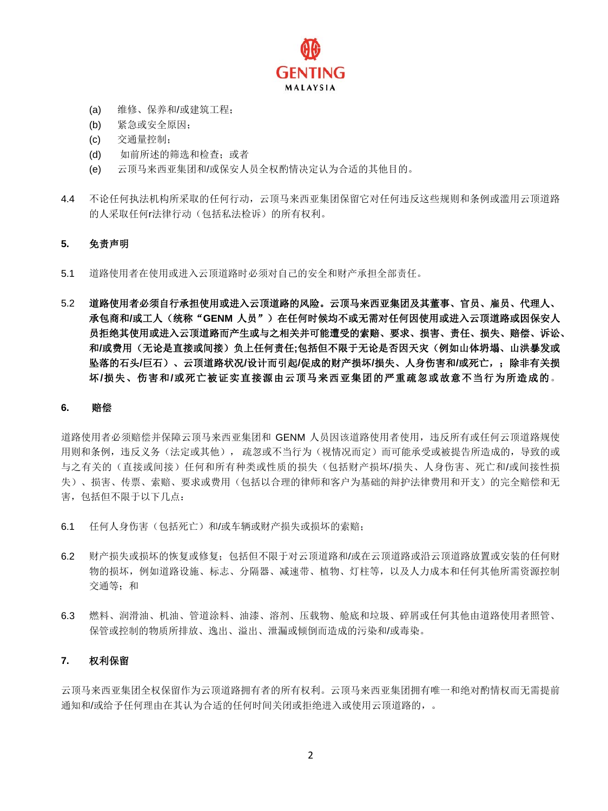

- (a) 维修、保养和/或建筑工程;
- (b) 紧急或安全原因;
- (c) 交通量控制;
- (d) 如前所述的筛选和检查;或者
- (e) 云顶马来西亚集团和/或保安人员全权酌情决定认为合适的其他目的。
- 4.4 不论任何执法机构所采取的任何行动,云顶马来西亚集团保留它对任何违反这些规则和条例或滥用云顶道路 的人采取任何r法律行动(包括私法检诉)的所有权利。

#### **5.** 免责声明

- 5.1 道路使用者在使用或进入云顶道路时必须对自己的安全和财产承担全部责任。
- 5.2 道路使用者必须自行承担使用或进入云顶道路的风险。云顶马来西亚集团及其董事、官员、雇员、代理人、 承包商和/或工人(统称"GENM 人员")在任何时候均不或无需对任何因使用或进入云顶道路或因保安人 员拒绝其使用或进入云顶道路而产生或与之相关并可能遭受的索赔、要求、损害、责任、损失、赔偿、诉讼、 和**/**或费用(无论是直接或间接)负上任何责任**;**包括但不限于无论是否因天灾(例如山体坍塌、山洪暴发或 坠落的石头**/**巨石)、云顶道路状况**/**设计而引起**/**促成的财产损坏**/**损失、人身伤害和**/**或死亡,;除非有关损 坏**/**损失、伤害和**/**或死亡被证实直接源由云顶马来西亚集团的严重疏忽或故意不当行为所造成的。

#### **6.** 赔偿

道路使用者必须赔偿并保障云顶马来西亚集团和 GENM 人员因该道路使用者使用,违反所有或任何云顶道路规使 用则和条例,违反义务(法定或其他), 疏忽或不当行为(视情况而定)而可能承受或被提告所造成的,导致的或 与之有关的(直接或间接)任何和所有种类或性质的损失(包括财产损坏/损失、人身伤害、死亡和/或间接性损 失)、损害、传票、索赔、要求或费用(包括以合理的律师和客户为基础的辩护法律费用和开支)的完全赔偿和无 害, 包括但不限于以下几点:

- 6.1 任何人身伤害(包括死亡)和/或车辆或财产损失或损坏的索赔;
- 6.2 财产损失或损坏的恢复或修复;包括但不限于对云顶道路和/或在云顶道路或沿云顶道路放置或安装的任何财 物的损坏,例如道路设施、标志、分隔器、减速带、植物、灯柱等,以及人力成本和任何其他所需资源控制 交通等;和
- 6.3 燃料、润滑油、机油、管道涂料、油漆、溶剂、压载物、舱底和垃圾、碎屑或任何其他由道路使用者照管、 保管或控制的物质所排放、逸出、溢出、泄漏或倾倒而造成的污染和/或毒染。

#### **7.** 权利保留

云顶马来西亚集团全权保留作为云顶道路拥有者的所有权利。云顶马来西亚集团拥有唯一和绝对酌情权而无需提前 通知和/或给予任何理由在其认为合适的任何时间关闭或拒绝进入或使用云顶道路的,。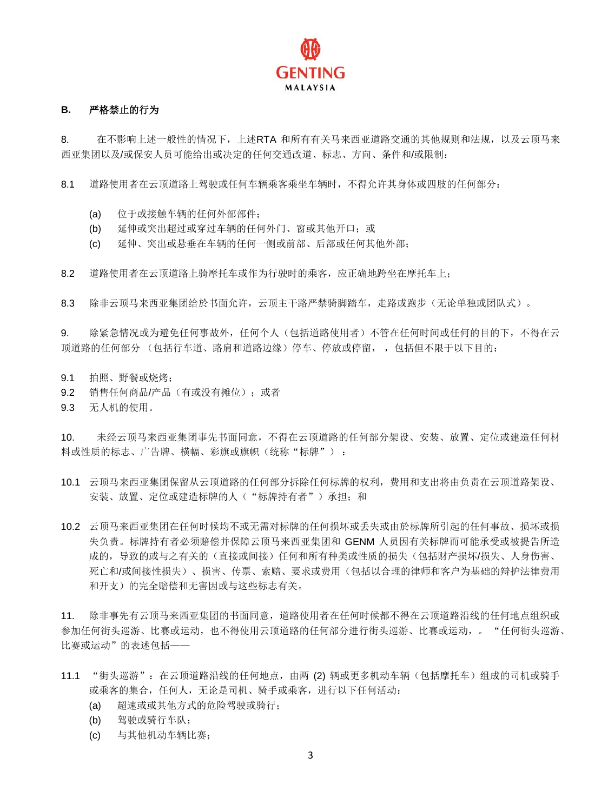

# **B.** 严格禁止的行为

8. 在不影响上述一般性的情况下,上述RTA 和所有有关马来西亚道路交通的其他规则和法规,以及云顶马来 西亚集团以及/或保安人员可能给出或决定的任何交通改道、标志、方向、条件和/或限制:

8.1 道路使用者在云顶道路上驾驶或任何车辆乘客乘坐车辆时,不得允许其身体或四肢的任何部分:

- (a) 位于或接触车辆的任何外部部件;
- (b) 延伸或突出超过或穿过车辆的任何外门、窗或其他开口;或
- (c) 延伸、突出或悬垂在车辆的任何一侧或前部、后部或任何其他外部;

8.2 道路使用者在云顶道路上骑摩托车或作为行驶时的乘客,应正确地跨坐在摩托车上;

8.3 除非云顶马来西亚集团给於书面允许,云顶主干路严禁骑脚踏车,走路或跑步(无论单独或团队式)。

9. 除紧急情况或为避免任何事故外,任何个人(包括道路使用者)不管在任何时间或任何的目的下,不得在云 顶道路的任何部分 (包括行车道、路肩和道路边缘)停车、停放或停留, ,包括但不限于以下目的:

- 9.1 拍照、野餐或烧烤;
- 9.2 销售任何商品/产品(有或没有摊位);或者
- 9.3 无人机的使用。

10. 未经云顶马来西亚集团事先书面同意,不得在云顶道路的任何部分架设、安装、放置、定位或建造任何材 料或性质的标志、广告牌、横幅、彩旗或旗帜(统称"标牌"):

- 10.1 云顶马来西亚集团保留从云顶道路的任何部分拆除任何标牌的权利,费用和支出将由负责在云顶道路架设、 安装、放置、定位或建造标牌的人("标牌持有者")承担;和
- 10.2 云顶马来西亚集团在任何时候均不或无需对标牌的任何损坏或丢失或由於标牌所引起的任何事故、损坏或损 失负责。标牌持有者必须赔偿并保障云顶马来西亚集团和 GENM 人员因有关标牌而可能承受或被提告所造 成的,导致的或与之有关的(直接或间接)任何和所有种类或性质的损失(包括财产损坏/损失、人身伤害、 死亡和/或间接性损失)、损害、传票、索赔、要求或费用(包括以合理的律师和客户为基础的辩护法律费用 和开支)的完全赔偿和无害因或与这些标志有关。

11. 除非事先有云顶马来西亚集团的书面同意,道路使用者在任何时候都不得在云顶道路沿线的任何地点组织或 参加任何街头巡游、比赛或运动,也不得使用云顶道路的任何部分进行街头巡游、比赛或运动,。 "任何街头巡游、 比赛或运动"的表述包括——

- 11.1 "街头巡游": 在云顶道路沿线的任何地点,由两 (2) 辆或更多机动车辆(包括摩托车)组成的司机或骑手 或乘客的集合,任何人,无论是司机、骑手或乘客,进行以下任何活动:
	- (a) 超速或或其他方式的危险驾驶或骑行;
	- (b) 驾驶或骑行车队;
	- (c) 与其他机动车辆比赛;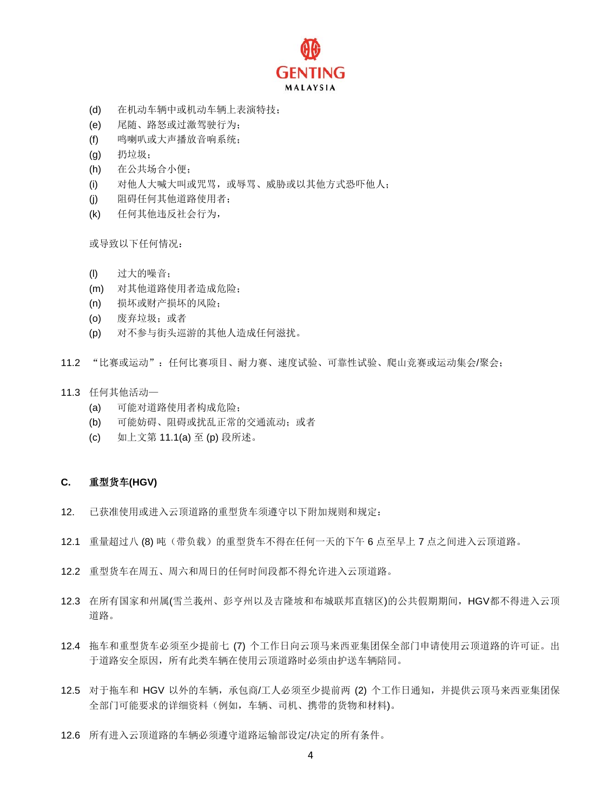

- (d) 在机动车辆中或机动车辆上表演特技;
- (e) 尾随、路怒或过激驾驶行为;
- (f) 鸣喇叭或大声播放音响系统;
- (g) 扔垃圾;
- (h) 在公共场合小便;
- (i) 对他人大喊大叫或咒骂,或辱骂、威胁或以其他方式恐吓他人;
- (j) 阻碍任何其他道路使用者;
- (k) 任何其他违反社会行为,

或导致以下任何情况:

- (l) 过大的噪音;
- (m) 对其他道路使用者造成危险;
- (n) 损坏或财产损坏的风险;
- (o) 废弃垃圾;或者
- (p) 对不参与街头巡游的其他人造成任何滋扰。
- 11.2 "比赛或运动":任何比赛项目、耐力赛、速度试验、可靠性试验、爬山竞赛或运动集会/聚会;
- 11.3 任何其他活动—
	- (a) 可能对道路使用者构成危险;
	- (b) 可能妨碍、阻碍或扰乱正常的交通流动;或者
	- (c) 如上文第 11.1(a) 至 (p) 段所述。

# **C.** 重型货车**(HGV)**

- 12. 已获准使用或进入云顶道路的重型货车须遵守以下附加规则和规定:
- 12.1 重量超过八 (8) 吨(带负载)的重型货车不得在任何一天的下午 6 点至早上 7 点之间进入云顶道路。
- 12.2 重型货车在周五、周六和周日的任何时间段都不得允许进入云顶道路。
- 12.3 在所有国家和州属(雪兰莪州、彭亨州以及吉隆坡和布城联邦直辖区)的公共假期期间,HGV都不得进入云顶 道路。
- 12.4 拖车和重型货车必须至少提前七 (7) 个工作日向云顶马来西亚集团保全部门申请使用云顶道路的许可证。出 于道路安全原因,所有此类车辆在使用云顶道路时必须由护送车辆陪同。
- 12.5 对于拖车和 HGV 以外的车辆,承包商/工人必须至少提前两 (2) 个工作日通知,并提供云顶马来西亚集团保 全部门可能要求的详细资料(例如,车辆、司机、携带的货物和材料)。
- 12.6 所有进入云顶道路的车辆必须遵守道路运输部设定/决定的所有条件。